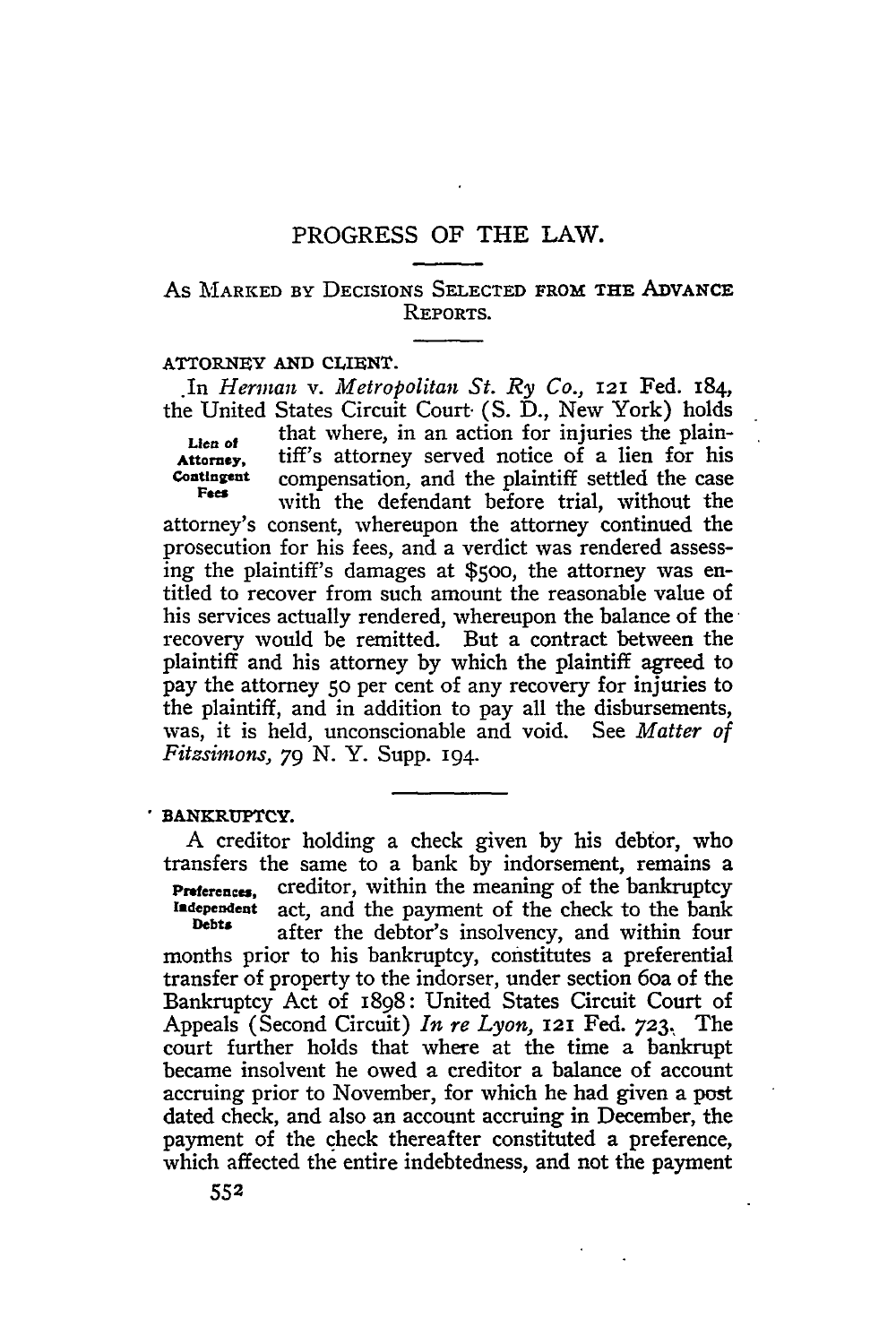# As MARKED **BY** DECISIONS **SELECTED** FROM **THE ADVANCE REPORTS.**

### **ATTORNEY AND CLIENT.**

*\*In Herman v. Metropolitan St. Ry Co.,* **121** Fed. 184, the United States Circuit Court. (S. D., New York) holds Lien of that where, in an action for injuries the plain-Attorney, tiff's attorney served notice of a lien for his<br> **Contingent** compensation and the plaintiff settled the case compensation, and the plaintiff settled the case Fees with the defendant before trial, without the attorney's consent, whereupon the attorney continued the prosecution for his fees, and a verdict was rendered assessing the plaintiff's damages at **\$500,** the attorney was entitled to recover from such amount the reasonable value of his services actually rendered, whereupon the balance of the recovery would be remitted. But a contract between the plaintiff and his attorney by which the plaintiff agreed to pay the attorney **50** per cent of any recovery for injuries to the plaintiff, and in addition to pay all the disbursements, was, it is held, unconscionable and void. See *Matter of Fitzsimons, 79* **N.** Y. Supp. 194.

## **BANKRUPTCY.**

A creditor holding a check given by his debtor, who transfers the same to a bank by indorsement, remains a **Preferences,** creditor, within the meaning of the bankruptcy **Independent** act, and the payment of the check to the bank **Independent** act, and the payment of the check to the bank **Debts** after the debtor's insolvency, and within four months prior to his bankruptcy, constitutes a preferential transfer of property to the indorser, under section 6oa of the Bankruptcy Act of 1898: United States Circuit Court of Appeals (Second Circuit) *In re Lyon,* **121** Fed. **723.,** The court further holds that where at the time a bankrupt became insolvent he owed a creditor a balance of account accruing prior to November, for which he had given a post dated check, and also an account accruing in December, the payment of the check thereafter constituted a preference, which affected the entire indebtedness, and not the payment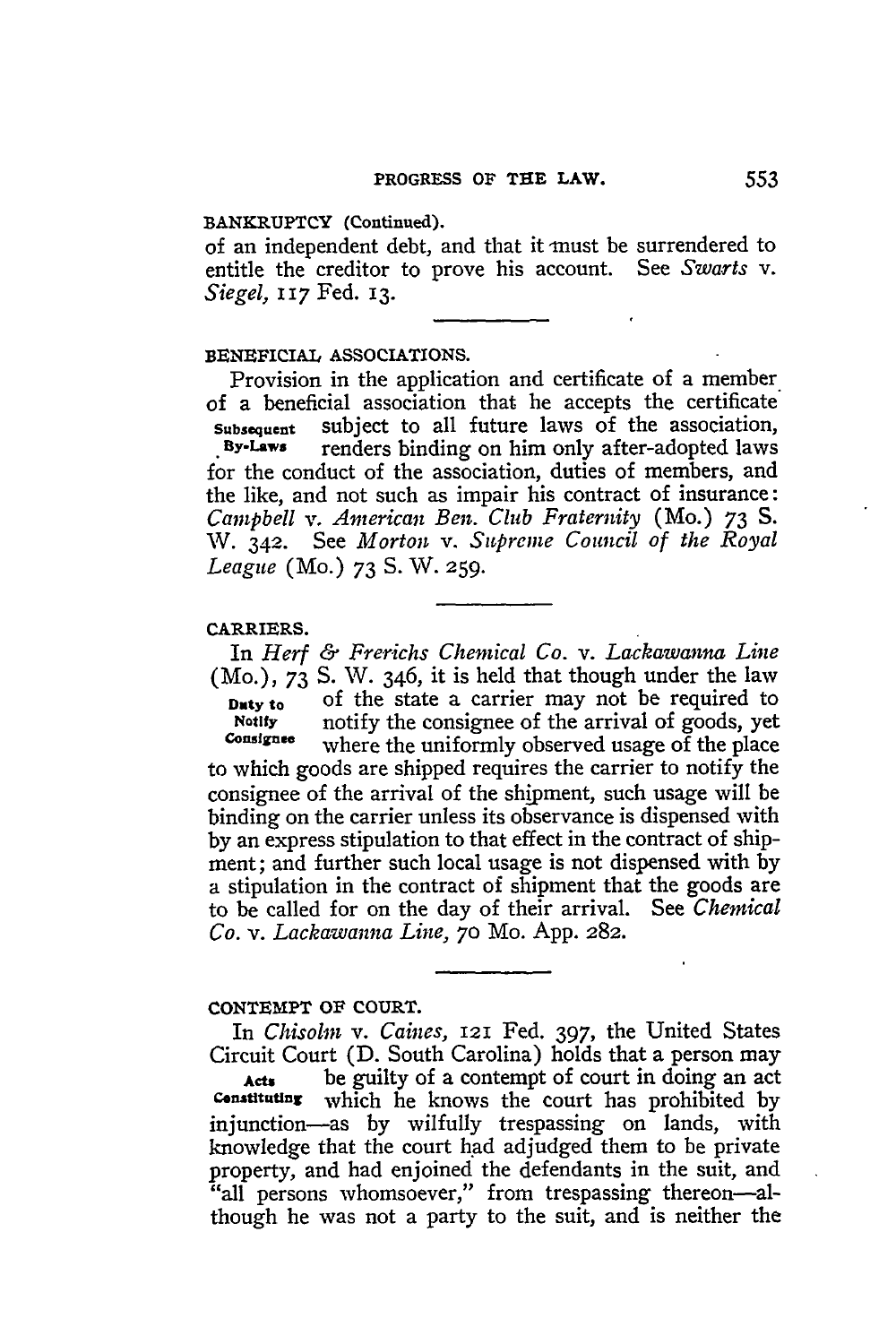## **BANKRUPTCY (Continued).**

of an independent debt, and that it must be surrendered to entitle the creditor to prove his account. See *Swarts v. Siegel, I* **17** Fed. **13.**

### BENEFICIAL **ASSOCIATIONS.**

Provision in the application and certificate of a member of a beneficial association that he accepts the certificate **Subsequent** subject to all future laws of the association, renders binding on him only after-adopted laws for the conduct of the association, duties of members, and the like, and not such as impair his contract of insurance: *Campbell v. American Ben. Club Fraternity* (Mo.) 73 S. W. 342. See *Morton v. Supreme Council of the Royal League* (Mo.) 73 **S.** W. **259.**

#### **CARRIERS.**

In *Herf & Frerichs Chemical Co. v. Lackawanna Line* (Mo.), 73 S. *W.* 346, it is held that though under the law Duty to of the state a carrier may not be required to **Notify** notify the consignee of the arrival of goods, yet where the uniformly observed usage of the place to which goods are shipped requires the carrier to notify the consignee of the arrival of the shipment, such usage will be binding on the carrier unless its observance is dispensed with **by** an express stipulation to that effect in the contract of shipment; and further such local usage is not dispensed with by a stipulation in the contract of shipment that the goods are to be called for on the day of their arrival. See *Chemical Co. v. Lackawanna Line,* **70** Mo. App. **282.**

## **CONTEMPT OF COURT.**

In *Chisolm v. Caines,* **121** Fed. 397, the United States Circuit Court (D. South Carolina) holds that a person may **Acts** be guilty of a contempt of court in doing an act **Consttuting** which he knows the court has prohibited by injunction-as **by** wilfully trespassing on lands, with knowledge that the court had adjudged them to be private property, and had enjoined the defendants in the suit, and "all persons whomsoever," from trespassing thereon-although he was not a party to the suit, and is neither the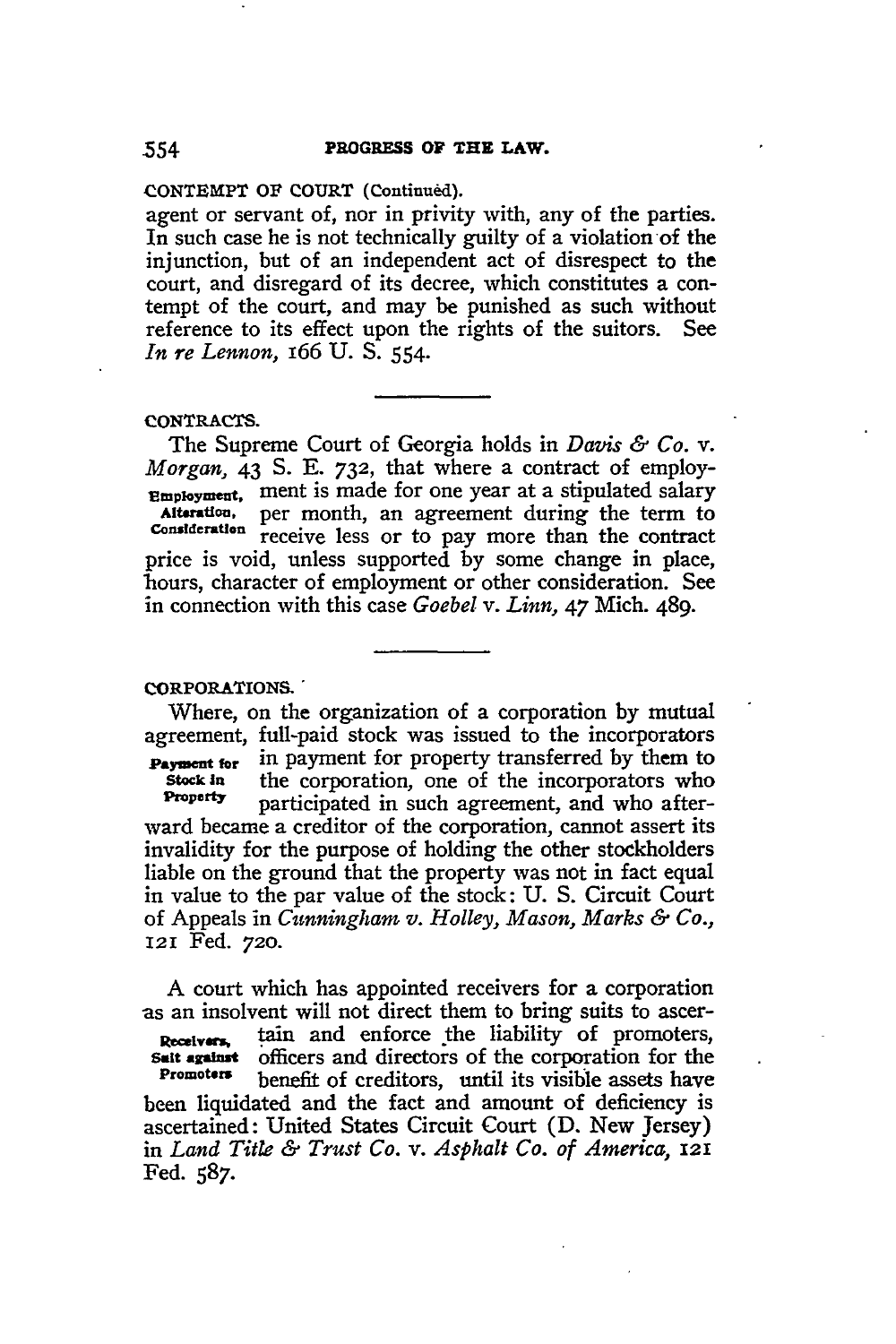**CONTEMPT OF COURT (Continued).**

agent or servant of, nor in privity with, any of the parties. In such case he is not technically guilty of a violation of the injunction, but of an independent act of disrespect to the court, and disregard of its decree, which constitutes a contempt of the court, and may be punished as such without reference to its effect upon the rights of the suitors. See *In re Lennon,* I66 **U. S.** 554.

### **CONTRACTS.**

The Supreme Court of Georgia holds in *Davis & Co. v. Morgan,* 43 **S. E. 732,** that where a contract of employ-**Employment.** ment is made for one year at a stipulated salary Alteration, per month, an agreement during the term to consideration receive loss on to pay more than the contract receive less or to pay more than the contract price is void, unless supported **by** some change in place, hours, character of employment or other consideration. See in connection with this case *Goebel v. Linn,* 47 Mich. 489.

# **CORPORATIONS.'**

Where, on the organization of a corporation by mutual agreement, full-paid stock was issued to the incorporators **Payment for** in payment for property transferred by them to<br>stock in the corporation, one of the incorporators who the corporation, one of the incorporators who **Property** participated in such agreement, and who afterward became a creditor of the corporation, cannot assert its invalidity for the purpose of holding the other stockholders liable on the ground that the property was not in fact equal in value to the par value of the stock: U. S. Circuit Court of Appeals in *Cunningham v. Holley, Mason, Marks & Co.,* 121 Fed. *720.*

A court which has appointed receivers for a corporation as an insolvent will not direct them to bring suits to ascer- Receivers, tain and enforce the liability of promoters, **salt against** officers and directors of the corporation for the Promoters hange benefit of creditors until its visible assets have benefit of creditors, until its visible assets have been liquidated and the fact and amount of deficiency is ascertained: United States Circuit Court (D. New Jersey) in *Land TitLe & Trust Co. v. Asphalt Co. of America, 121* Fed. *587.*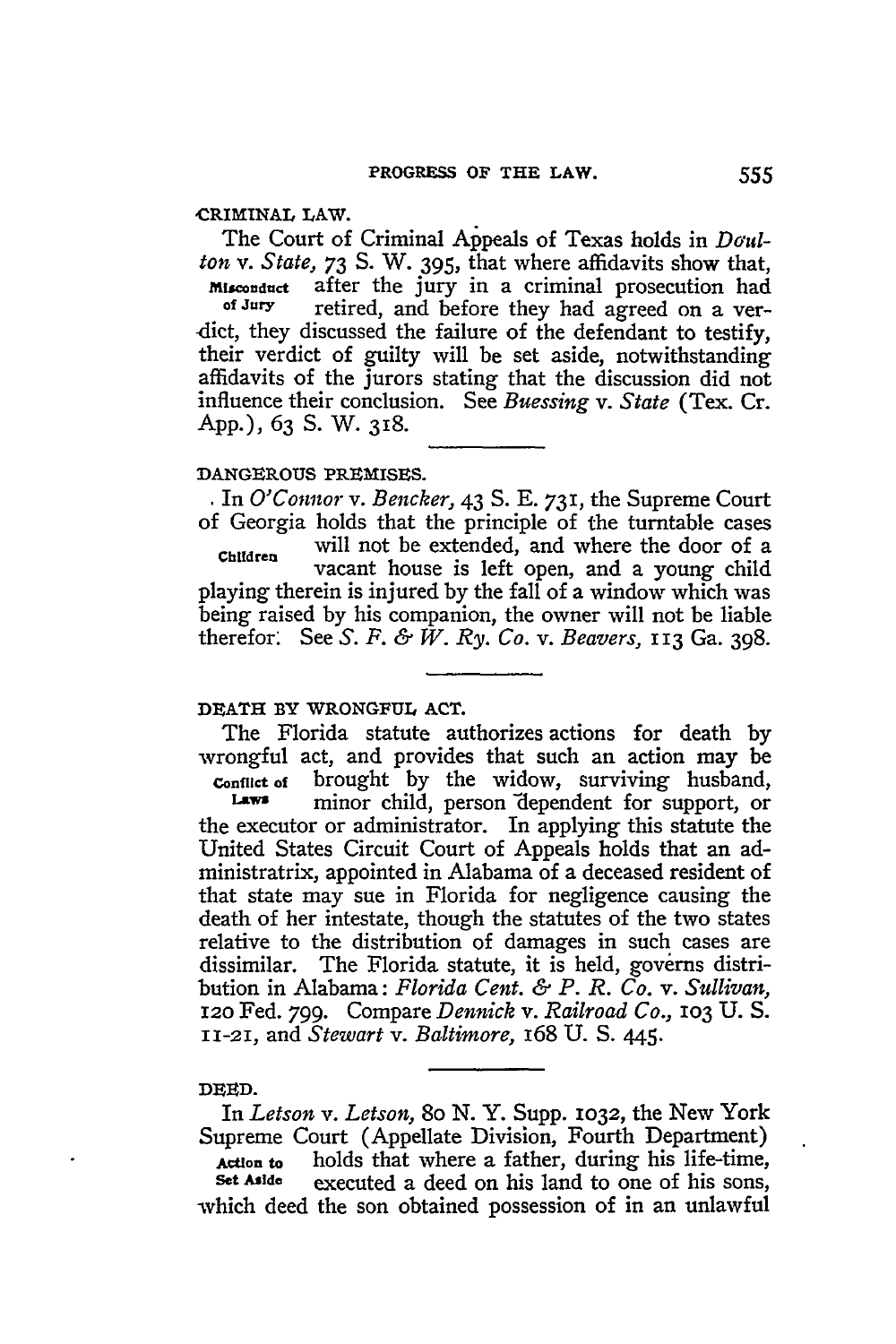### **CRIMINAL** LAW.

The Court of Criminal Appeals of Texas holds in *Daulton v. State,* 73 **S.** W. **395,** that where affidavits show that,  $M_{\text{isconduct}}$  after the jury in a criminal prosecution had<br>of Jury retired and before they had agreed on a verretired, and before they had agreed on a verdict, they discussed the failure of the defendant to testify, their verdict of guilty will be set aside, notwithstanding affidavits of the jurors stating that the discussion did not influence their conclusion. See *Buessing v. State* (Tex. Cr. App.), 63 **S.** W. 318.

# **DANGEROUS PREMISES.**

**.** In *O'Connor v. Bencker,* 43 **S. E.** 731, the Supreme Court of Georgia holds that the principle of the turntable cases **Children** will not be extended, and where the door of a vacant house is left open, and a young child playing therein is injured by the fall of a window which was being raised by his companion, the owner will not be liable therefor: See *S. F. & W. Ry. Co. v. Beavers,* 113 Ga. 398.

### **DEATH** BY **WRONGFUL ACT.**

The Florida statute authorizes actions for death by wrongful act, and provides that such an action may be **Conflict of** brought by the widow, surviving husband, minor child, person dependent for support, or the executor or administrator. In applying this statute the United States Circuit Court of Appeals holds that an administratrix, appointed in Alabama of a deceased resident of that state may sue in Florida for negligence causing the death of her intestate, though the statutes of the two states relative to the distribution of damages in such cases are dissimilar. The Florida statute, it is held, governs distribution in Alabama: *Florida Cent. & P. R. Co. v. Sullivan,* 12o Fed. 799. Compare *Dennick v. Railroad Co.,* **103** U. S. 11-21, and *Stewart v. Baltimore,* 168 U. S. 445.

## **DEED.**

In *Letson v. Letson,* 8o N. Y. Supp. **1032,** the New York Supreme Court (Appellate Division, Fourth Department) Action to holds that where a father, during his life-time,<br>Set Aside executed a deed on his land to one of his sons executed a deed on his land to one of his sons, -which deed the son obtained possession of in an unlawful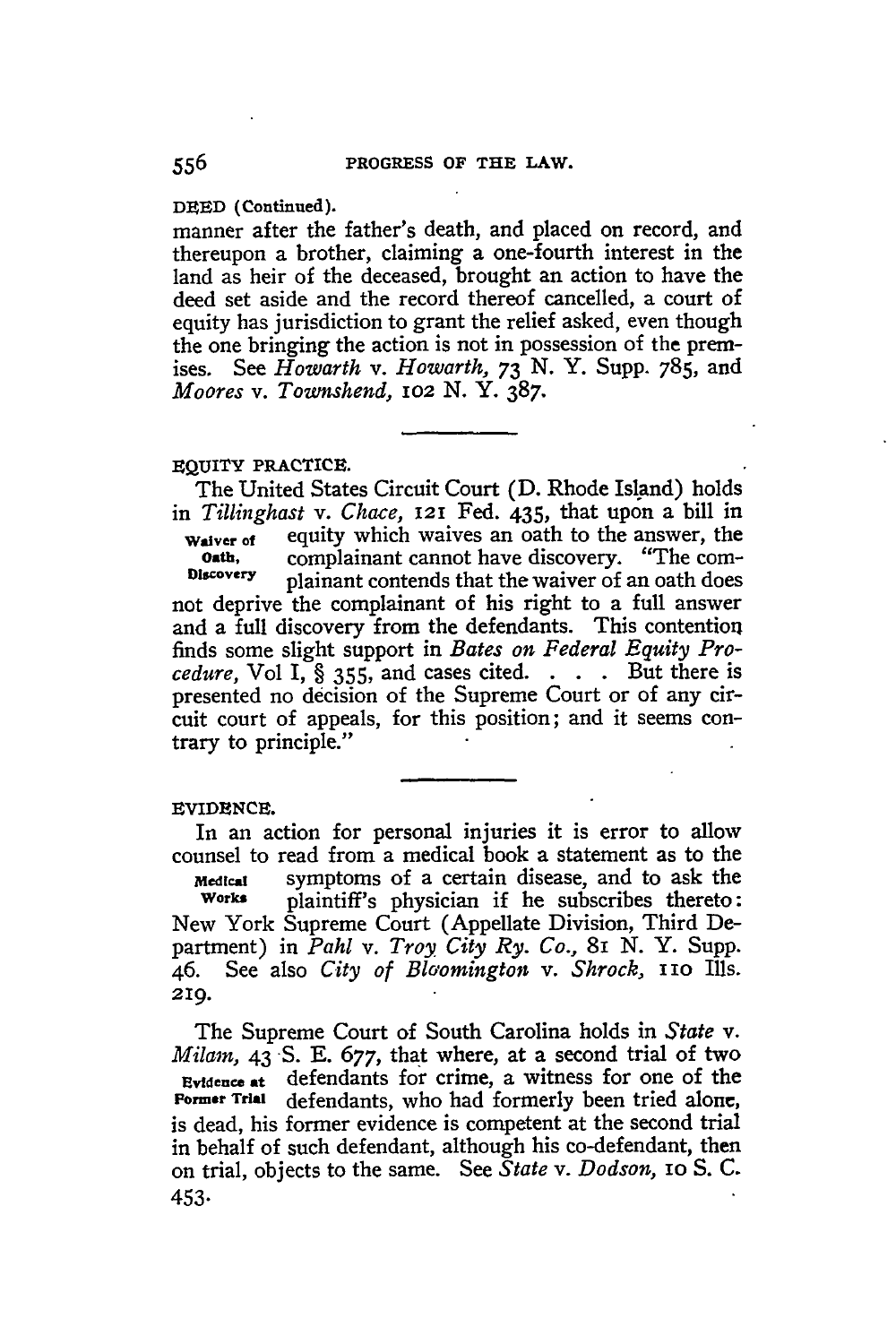**DEED (Continued).**

manner after the father's death, and placed on record, and thereupon a brother, claiming a one-fourth interest in the land as heir of the deceased, brought an action to have the deed set aside and the record thereof cancelled, a court of equity has jurisdiction to grant the relief asked, even though the one bringing the action is not in possession of the premises. See *Howarth v. Howarth, 73* **N.** Y. Supp. 785, and *Moores v. Townshend, 1O2* **N. Y.** 387.

#### **EQUITY PRACTICE.**

The United States Circuit Court (D. Rhode Island) holds in *Tillinghast v. Chace,* 121 Fed. 435, that upon a bill in **waiver** of equity which waives an oath to the answer, the complainant cannot have discovery. "The com-**Discovery** plainant contends that the waiver of an oath does not deprive the complainant of his right to a full answer and a full discovery from the defendants. This contention finds some slight support in *Bates on Federal Equity Procedure,* Vol I, § **355,** and cases cited. . **.** . But there is presented no decision of the Supreme Court or of any circuit court of appeals, for this position; and it seems contrary to principle."

## **EVIDENCE.**

In an action for personal injuries it is error to allow counsel to read from a medical book a statement as to the *Medical* symptoms of a certain disease, and to ask the **Works** plaintiff's physician if he subscribes thereto: New York Supreme Court (Appellate Division, Third Department) in *Pahl v. Troy City Ry. Co.,* 81 **N.** Y. Supp. 46. See also *City of Blo'omington v. Shrock, i1O* Ills. 219.

The Supreme Court of South Carolina holds in *State v. Milarn,* 43 **S. E.** 677, that where, at a second trial of two **Evidence at** defendants for crime, a witness for one of the **Former Trial** defendants, who had formerly been tried alone, is dead, his former evidence is competent at the second trial in behalf of such defendant, although his co-defendant, then on trial, objects to the same. See *State v. Dodson,* IO **S. C.** 453.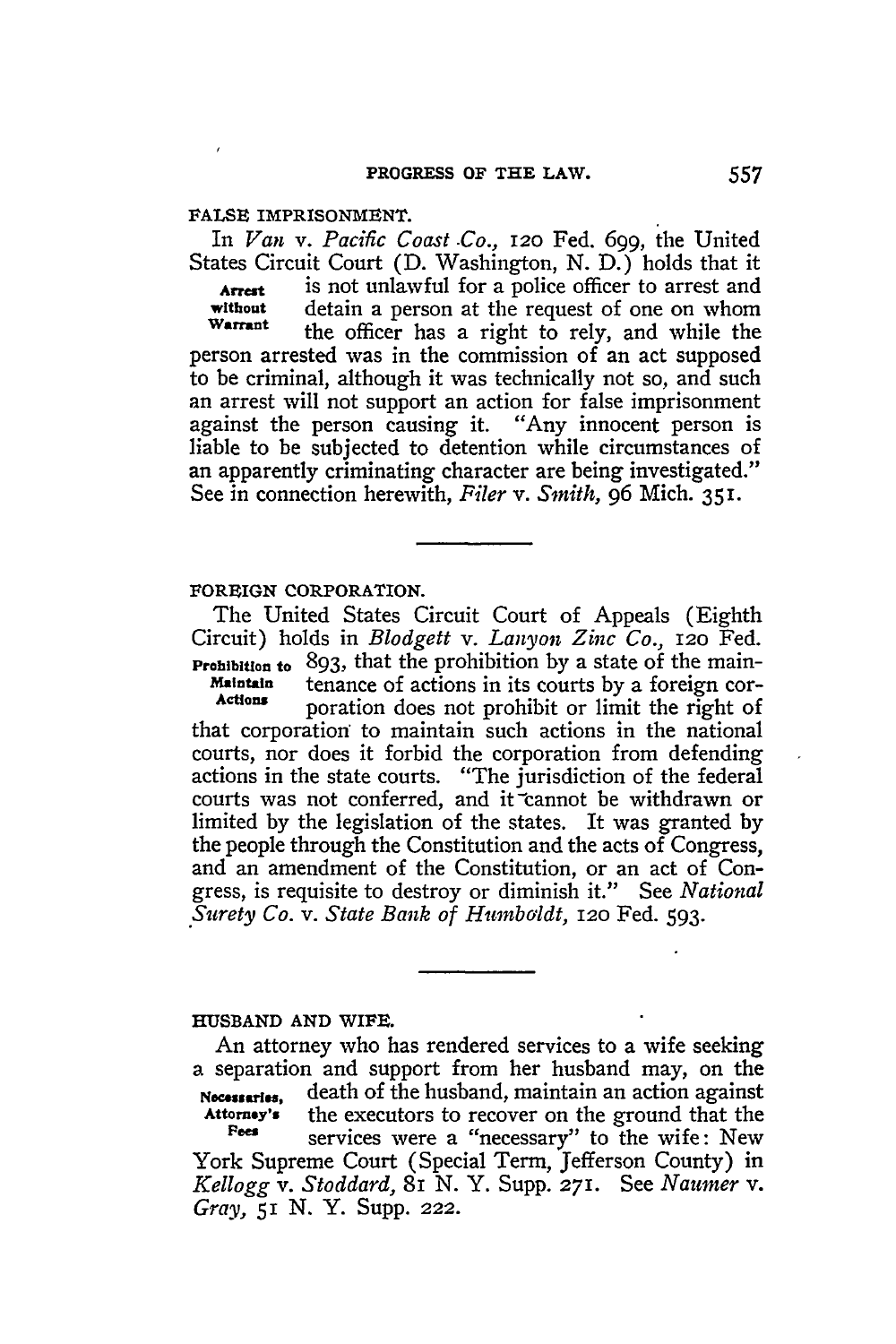#### **FALSE IMPRISONMENT.**

In *Van* v. *Pacific Coast .Co.,* **12o** Fed. 699, the United States Circuit Court (D. Washington, N. D.) holds that it **Arrest** is not unlawful for a police officer to arrest and<br>without detain a person at the request of one on whom **without** detain a person at the request of one on whom **Wan-ant** the officer has a right to rely, and while the person arrested was in the commission of an act supposed to be criminal, although it was technically not so, and such an arrest will not support an action for false imprisonment against the person causing it. "Any innocent person is liable to be subjected to detention while circumstances of an apparently criminating character are being investigated." See in connection herewith, *Filer v. Smith,* 96 Mich. **351.**

## **FOREIGN CORPORATION.**

The United States Circuit Court of Appeals (Eighth Circuit) holds in *Blodgett v. Lanyon Zinc Co.,* 12o Fed. **Prohibition to** 893, that the prohibition by a state of the main-<br>**Maintain** tenance of actions in its courts by a foreign cor-**Maintain** tenance of actions in its courts by a foreign corporation does not prohibit or limit the right of that corporation to maintain such actions in the national courts, nor does it forbid the corporation from defending actions in the state courts. "The jurisdiction of the federal courts was not conferred, and it cannot be withdrawn or limited by the legislation of the states. It was granted by the people through the Constitution and the acts of Congress, and an amendment of the Constitution, or an act of Congress, is requisite to destroy or diminish it." See *National .Surety Co. v. State Bank of Humboldt,* 12o Fed. 593.

## **HUSBAND AND WIFE.**

An attorney who has rendered services to a wife seeking a separation and support from her husband may, on the **Ncesi,,** death of the husband, maintain an action against **Attorney's** the executors to recover on the ground that the Fees services were a "necessary" to the wife: New York Supreme Court (Special Term, Jefferson County) in *Kellogg v. Stoddard,* 8i N. Y. Supp. **271.** See *Naumer v. Gray,* **51** N. Y. Supp. *222.*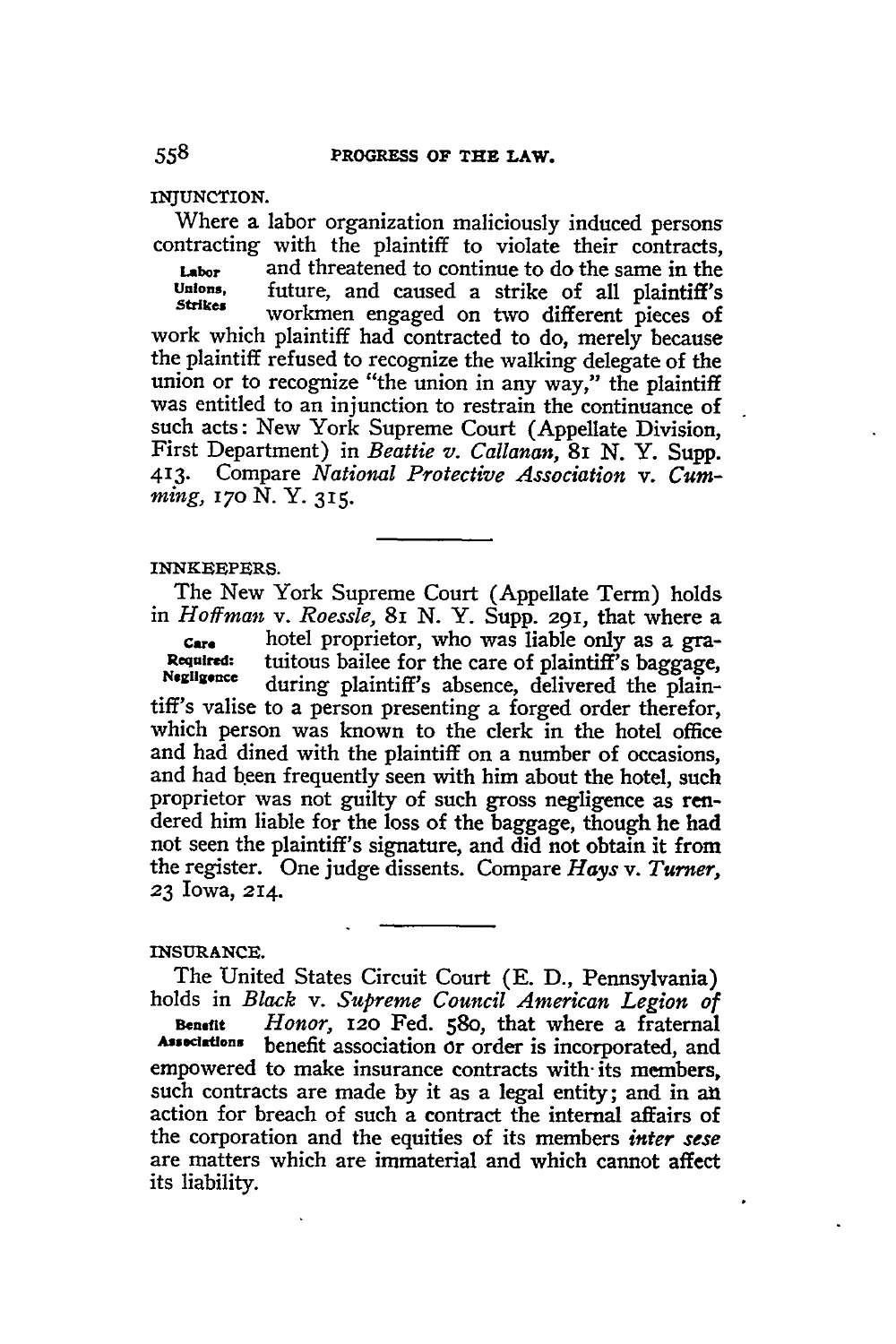**INJUNCTION.**

Where a labor organization maliciously induced persons contracting with the plaintiff to violate their contracts, **Labor** and threatened to continue to do the same in the unions. future and caused a strike of all plaintiff's **Unions,** future, and caused a strike of all plaintiff's **Stakes** workmen engaged on two different pieces of work which plaintiff had contracted to do, merely because the plaintiff refused to recognize the walking delegate of the union or to recognize "the union in any way," the plaintiff was entitled to an injunction to restrain the continuance of such acts: New York Supreme Court (Appellate Division, First Department) in *Beattie v. Callanan,* 8i *N.* Y. Supp. 413. Compare *National Protective Association v. Cumming, 17o* **N. Y. 315.**

#### **INNKEEPERS.**

The New York Supreme Court (Appellate Term) holds in *Hoffman v. Roessle,* 8i N. Y. Supp. 291, that where a

*Ca.* hotel proprietor, who was liable only as a gra- **Required:** tuitous bailee for the care of plaintiff's baggage, **Negligence** during plaintiff's absence, delivered the plaintiff's valise to a person presenting a forged order therefor, which person was known to the clerk in the hotel office and had dined with the plaintiff on a number of occasions, and had been frequently seen with him about the hotel, such proprietor was not guilty of such gross negligence as rendered him liable for the loss of the baggage, though he had not seen the plaintiff's signature, and did not obtain it from the register. One judge dissents. Compare *Hays v. Turner,* **23** Iowa, 214.

# **INSURANCE.**

The United States Circuit Court **(E. D.,** Pennsylvania) holds in *Black v. Supreme Council American Legion of*

**Benefit** *Honor,* **12o** Fed. 58o, that where a fraternal **Associations** benefit association or order is incorporated, and empowered to make insurance contracts with- its members, such contracts are made by it as a legal entity; and in an action for breach of such a contract the internal affairs of the corporation and the equities of its members *inter sese* are matters which are immaterial and which cannot affect its liability.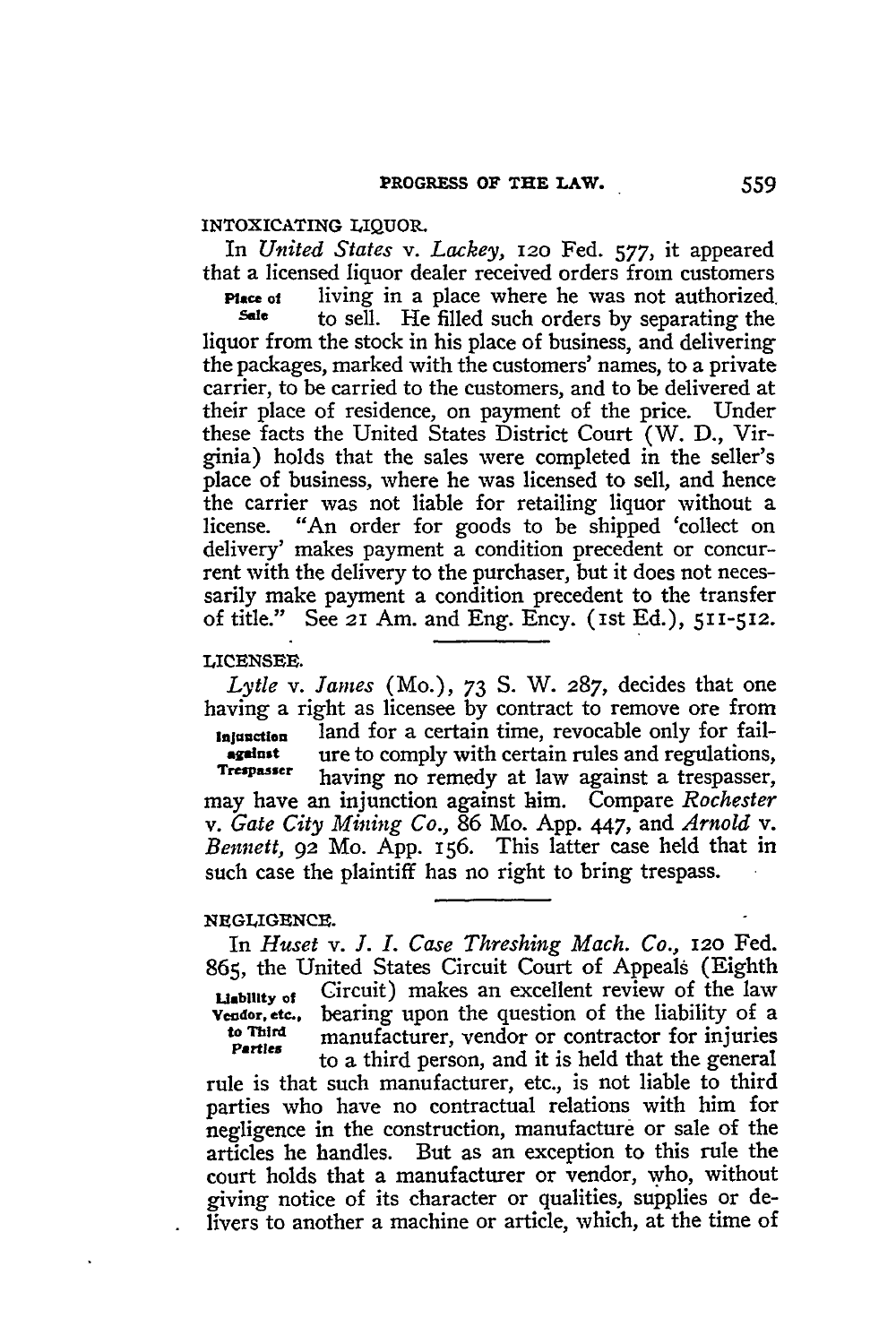## INTOXICATING **LIQUOR.**

In *United States v. Lackey,* **12o** Fed. *577,* it appeared that a licensed liquor dealer received orders from customers

**Place ot** living in a place where he was not authorized **sate to sell.** He filled such orders by separating the liquor from the stock in his place of business, and delivering the packages, marked with the customers' names, to a private carrier, to be carried to the customers, and to be delivered at their place of residence, on payment of the price. Under these facts the United States District Court (W. D., Virginia) holds that the sales were completed in the seller's place of business, where he was licensed to sell, and hence the carrier was not liable for retailing liquor without a license. "An order for goods to be shipped 'collect on delivery' makes payment a condition precedent or concurrent with the delivery to the purchaser, but it does not necessarily make payment a condition precedent to the transfer of title." See 21 Am. and Eng. Ency. (Ist Ed.), 511-512.

### **LICENSEE.**

*Lytle v. James* (Mo.), **73 S.** W. *287,* decides that one having a right as licensee **by** contract to remove ore from **Injunction** land for a certain time, revocable only for fail-<br>**Algement** ure to comply with certain rules and regulations. **against ure to comply with certain rules and regulations, Trespasser** having no remedy at law against a trespasser, may have an injunction against him. Compare *Rochester v. Gate City Mining Co.,* 86 Mo. App. 447, and *Arnold v. Bennett,* 92 Mo. App. 156. This latter case held that in such case the plaintiff has no right to bring trespass.

## **NEGLIGENCE.**

In *Huset v. J. I. Case Threshing Mach. Co.,* **12o** Fed. 865, the United States Circuit Court of Appeals (Eighth **Liability of** Circuit) makes an excellent review of the law **Vendor, etc.** bearing upon the question of the liability of a **Endor, etc.,** bearing upon the question of the liability of a contractor for injuries **to Third** manufacturer, vendor or contractor for injuries **Parties that is manufacturer**, vendor or contractor for injuries

rule is that such manufacturer, etc., is not liable to third parties who have no contractual relations with him for negligence in the construction, manufacture or sale of the articles he handles. But as an exception to this rule the court holds that a manufacturer or vendor, who, without giving notice of its character or qualities, supplies or delivers to another a machine or article, which, at the time of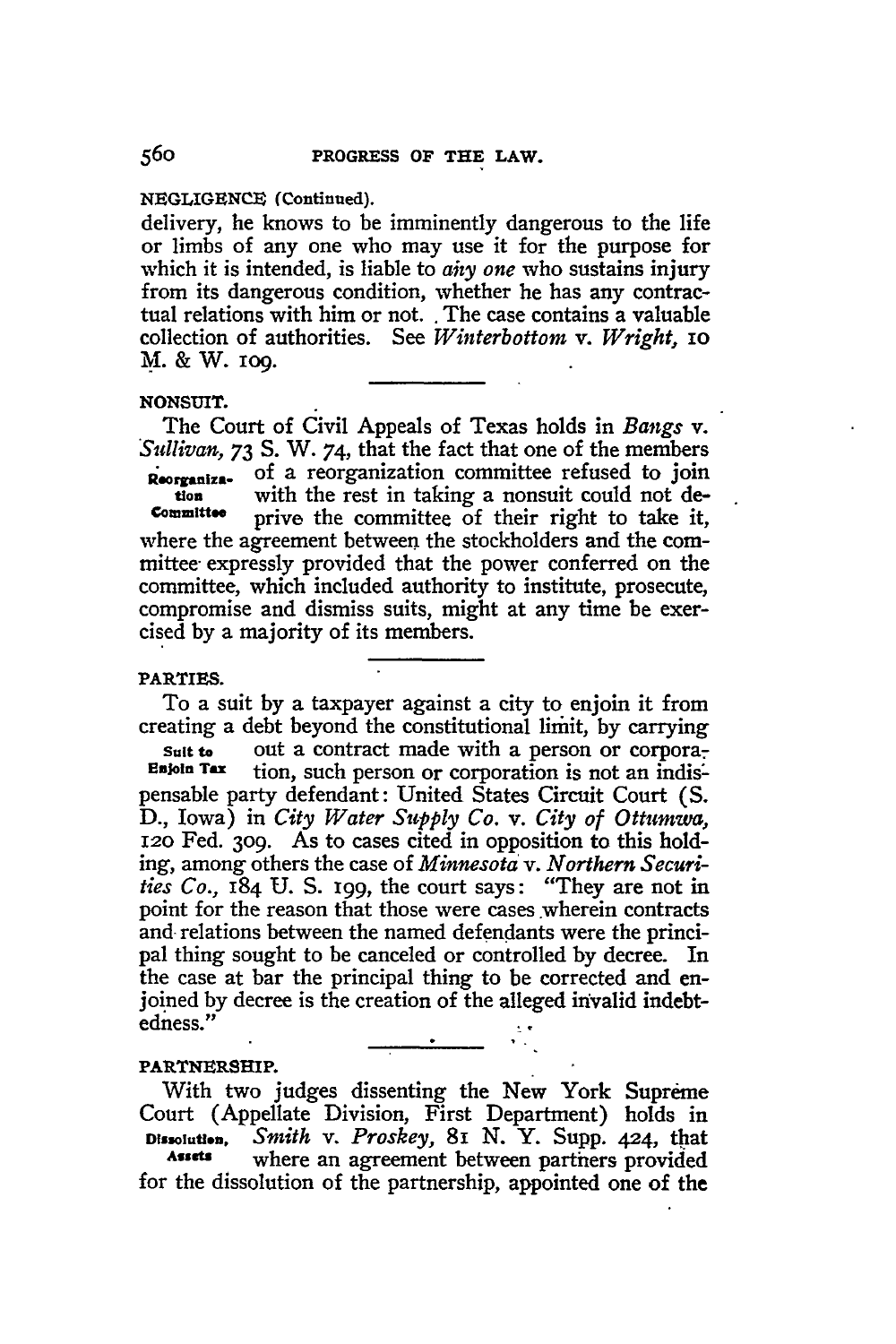## **NEGLIGENCE (Continued).**

delivery, he knows to be imminently dangerous to the life or limbs of any one who may use it for the purpose for which it is intended, is liable to *any one* who sustains injury from its dangerous condition, whether he has any contractual relations with him or not.. The case contains a valuable collection of authorities. See *Winterbottom v. Wright, IO* **M. &** W. **109.**

## **NONSUIT.**

The Court of Civil Appeals of Texas holds in *Bangs v. Sullivan,* **73 S.** W. *74,* that the fact that one of the members **Reorganiz.** of a reorganization committee refused to join **tion** with the rest in taking a nonsuit could not de-<br> **Committee** prive the committee of their right to take it prive the committee of their right to take it, where the agreement between the stockholders and the committee expressly provided that the power conferred on the committee, which included authority to institute, prosecute, compromise and dismiss suits, might at any time be exercised **by** a majority of its members.

#### **PARTIES.**

To a suit by a taxpayer against a city to enjoin it from creating a debt beyond the constitutional limit, **by** carrying

**Suit to** out a contract made with a person or corpora-<br>**Enjoin Tax** tion such person or corporation is not an indistion, such person or corporation is not an indispensable party defendant: United States Circuit Court **(S. D.,** Iowa) in *City Water Supply Co. v. City of Ottumwa,* 12o Fed. 3o9. As to cases cited in opposition to this holding, among others the case of *Minnesota v. Northern Securities Co.,* 184 U. **S.** 199, the court says: "They are not in point for the reason that those were cases wherein contracts and relations between the named defendants were the principal thing sought to be canceled or controlled by decree. In the case at bar the principal thing to be corrected and enjoined by decree is the creation of the alleged invalid indebtedness."

#### **PARTNERSHIP.**

With two judges dissenting the New York Supreme Court (Appellate Division, First Department) holds in **Dissolution,** *Smith v. Proskey,* 8I **N.** Y. Supp. **424,** that **Assets** where an agreement between partners provided for the dissolution of the partnership, appointed one of the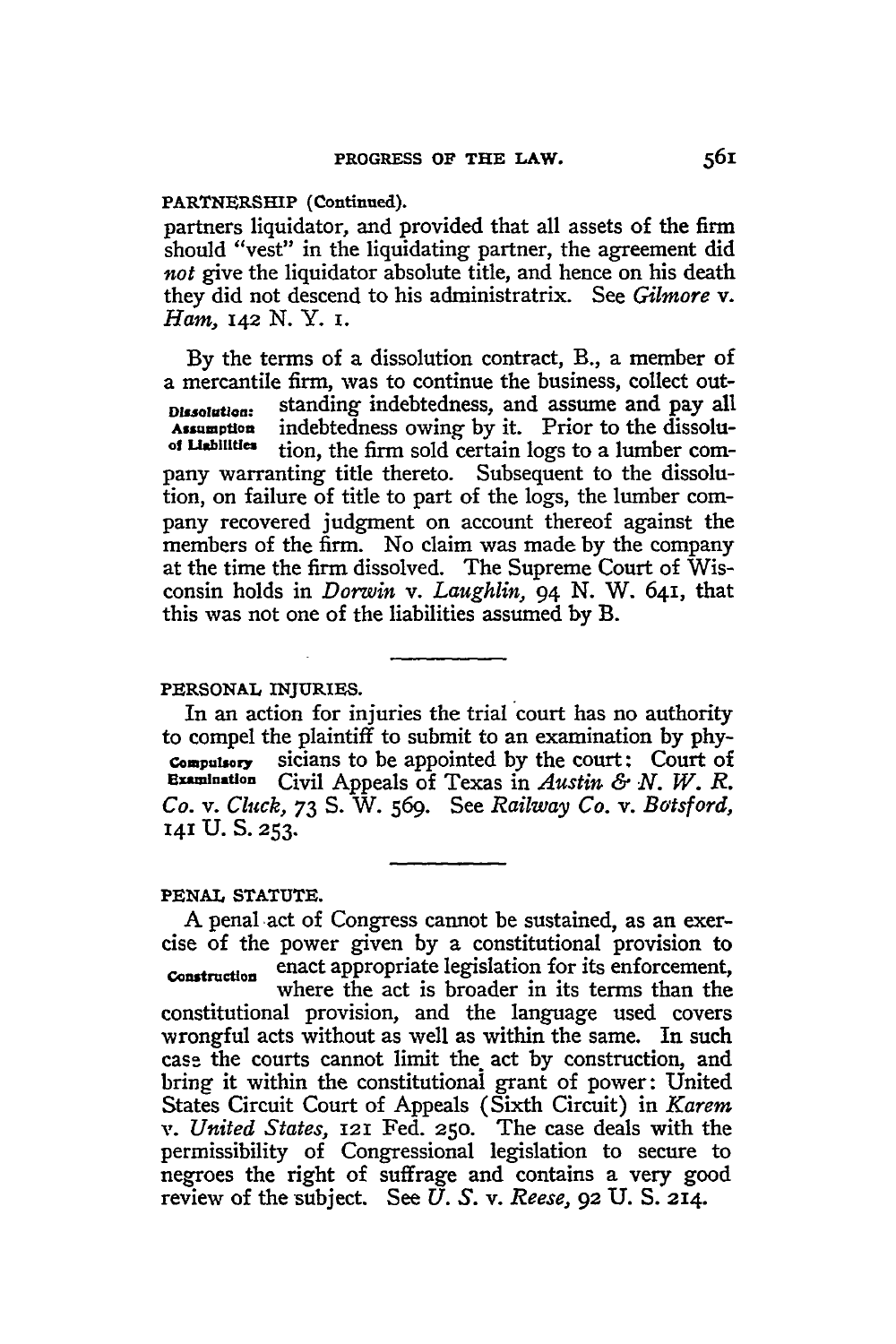## **PARTNERSHIP** (Continued).

partners liquidator, and provided that all assets of the firm should "vest" in the liquidating partner, the agreement did *not* give the liquidator absolute title, and hence on his death they did not descend to his administratrix. See *Gilmore v. Ham, 142 N. Y.* i.

By the terms of a dissolution contract, B., a member of a mercantile firm, was to continue the business, collect out-Dissolution: standing indebtedness, and assume and pay all<br>Assumption indebtedness owing by it. Prior to the dissolu-**Assumption** indebtedness owing by it. Prior to the dissolution, the firm sold certain logs to a lumber company warranting title thereto. Subsequent to the dissolution, on failure of title to part of the logs, the lumber company recovered judgment on account thereof against the members of the firm. No claim was made by the company at the time the firm dissolved. The Supreme Court of Wisconsin holds in *Dorwin v. Laughlin,* 94 N. W. 641, that this was not one of the liabilities assumed by B.

## PERSONAL INJURIES.

In an action for injuries the trial court has no authority to compel the plaintiff to submit to an examination **by** phy-**Compulsory** sicians to be appointed **by** the court: Court of **Examiuntion** Civil Appeals of Texas in *Austin & N. W. R. Co. v. Cluck,* **73 S.** W. 569. See *Railway Co. v. Batsford,* **141 U. S. 253.**

## **PENAL STATUTE.**

A penal act of Congress cannot be sustained, as an exercise of the power given by a constitutional provision to Comdructon enact appropriate legislation for its enforcement, where the act is broader in its terms than the constitutional provision, and the language used covers wrongful acts without as well as within the same. In such case the courts cannot limit the act by construction, and bring it within the constitutionai grant of power: United States Circuit Court of Appeals (Sixth Circuit) in *Karem v. United States,* 121 Fed. 25o. The case deals with the permissibility of Congressional legislation to secure to negroes the right of suffrage and contains a very good review of the subject. See *U.* S. v. *Reese,* 92 U. **S.** 214.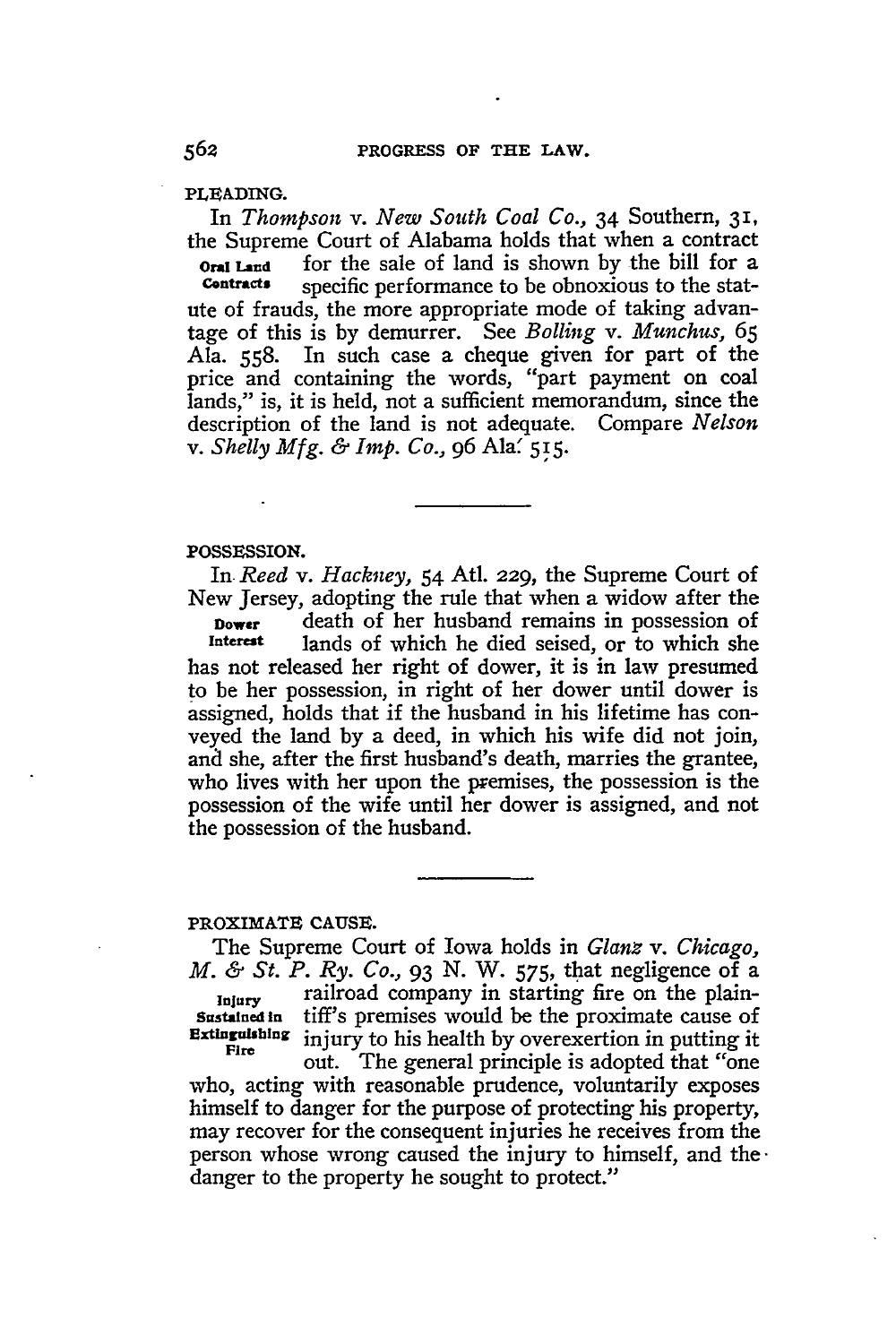**PLEADING.**

In *Thompson v. New South Coal Co.,* 34 Southern, **31,** the Supreme Court of Alabama holds that when a contract

**Oral Land** for the sale of land is shown by the bill for a contracts specific performance to be obnoxious to the statspecific performance to be obnoxious to the statute of frauds, the more appropriate mode of taking advantage of this is by demurrer. See *Boiling v. Munchus,* 65 Ala. 558. In such case a cheque given for part of the price and containing the words, "part payment on coal lands," is, it is held, not a sufficient memorandum, since the description of the land is not adequate. Compare *Nelson v. Shelly Mfg. & Imp. Co.,* 96 Ala' **515.**

#### POSSESSION.

In *Reed v. Hackney,* 54 Atl. 229, the Supreme Court of New Jersey, adopting the rule that when a widow after the **Dower death of her husband remains in possession of interest** lands of which he died seised or to which she lands of which he died seised, or to which she has not released her right of dower, it is in law presumed to be her possession, in right of her dower until dower is assigned, holds that if the husband in his lifetime has conveyed the land **by** a deed, in which his wife did not join, and she, after the first husband's death, marries the grantee, who lives with her upon the premises, the possession is the possession of the wife until her dower is assigned, and not the possession of the husband.

#### PROXIMATE **CAUSE.**

The Supreme Court of Iowa holds in *Glanz v. Chicago, M. & St. P. Ry. Co.,* 93 N. W. 575, that negligence of a Injury railroad company in starting fire on the plain-**Sustained in** tiff's premises would be the proximate cause of **Extinguishing** injury to his health by overexertion in putting it Fire out. The general principle is adopted that "one who, acting with reasonable prudence, voluntarily exposes himself to danger for the purpose of protecting his property, may recover for the consequent injuries he receives from the person whose wrong caused the injury to himself, and thedanger to the property he sought to protect."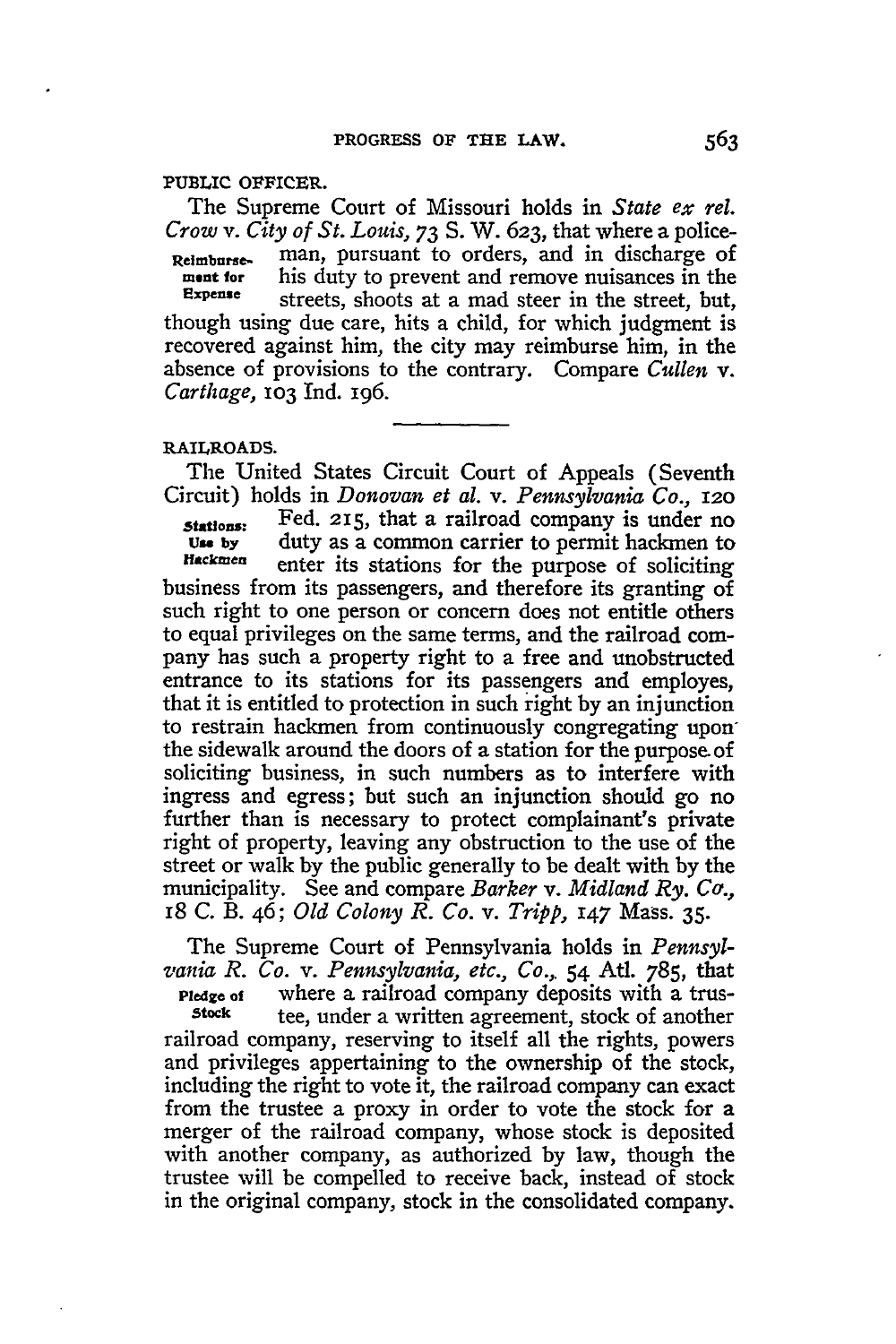#### **PUBLIC** OFFICER.

The Supreme Court of Missouri holds in *State ex rel. Crow v. City of St. Louis, 73* S. W. 623, that where a police-**Relimburse-** man, pursuant to orders, and in discharge of ment for **his duty to prevent and remove nuisances in the Expense** ctreate about a the mod steam in the streat, but **Expense** streets, shoots at a mad steer in the street, but, though using due care, hits a child, for which judgment is recovered against him, the city may reimburse him, in the absence of provisions to the contrary. Compare *Cullen v. Carthage,* **103** Ind. 196.

## **RAILROADS.**

The United States Circuit Court of Appeals (Seventh Circuit) holds in *Donovan et al. v. Pennsylvania Co., 120* **stations:** Fed. *215,* that a railroad company is under no **Use by** duty as a common carrier to permit hackmen to **lffckmen** enter its stations for the purpose of soliciting business from its passengers, and therefore its granting of such right to one person or concern does not entitle others to equal privileges on the same terms, and the railroad company has such a property right to a free and unobstructed entrance to its stations for its passengers and employes, that it is entitled to protection in such right by an injunction to restrain hackmen from continuously congregating upon the sidewalk around the doors of a station for the purpose of soliciting business, in such numbers as to interfere with ingress and egress; but such an injunction should go no further than is necessary to protect complainant's private right of property, leaving any obstruction to the use of the street or walk by the public generally to be dealt with by the municipality. See and compare *Barker v. Midland Ry. Co.,* <sup>18</sup>C. B. 46; *Old Colony R. Co. v. Tripp,* 147 Mass. **35.**

The Supreme Court of Pennsylvania holds in *Pennsylvania R. Co. v. Pennsylvania, etc., Co.,.* 54 Atl. 785, that

**Pledge of** where a railroad company deposits with a trus-<br>Stock the under a written agreement stock of another **Stock** tee, under a written agreement, stock of another railroad company, reserving to itself all the rights, powers and privileges appertaining to the ownership of the stock, including the right to vote it, the railroad company can exact from the trustee a proxy in order to vote the stock for a merger of the railroad company, whose stock is deposited with another company, as authorized by law, though the trustee will be compelled to receive back, instead of stock in the original company, stock in the consolidated company.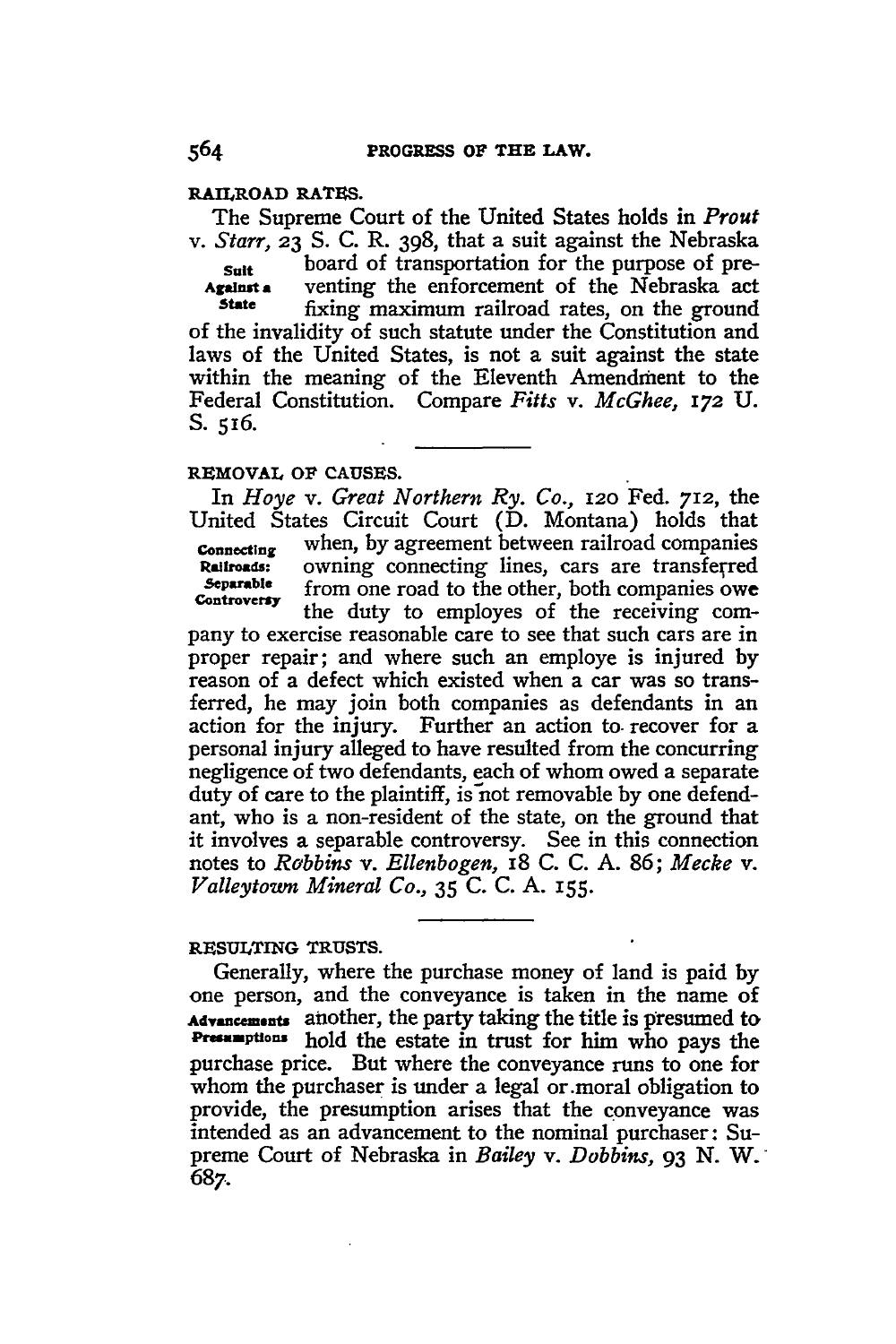## **RAILROAD RATES.**

The Supreme Court of the United States holds in *Prout v. Starr,* **23** S. C. R. 398, that a suit against the Nebraska **Suit** board of transportation for the purpose of pre-<br>Against a venting the enforcement of the Nebraska act **Against a** venting the enforcement of the Nebraska act state fixing maximum railroad rates on the ground fixing maximum railroad rates, on the ground of the invalidity of such statute under the Constitution and

laws of the United States, is not a suit against the state within the meaning of the Eleventh Amendment to the Federal Constitution. Compare *Fitts* v. *McGhee,* **172 U. S. 516.**

## **REMOVAL OF CAUSES.**

*In Hoye v. Great Northern Ry. Co.,* **I2O** Fed. **712,** the United States Circuit Court (D. Montana) holds that **Connecting** when, by agreement between railroad companies **Railroads:** owning connecting lines, cars are transferred<br>Separable from one road to the other hoth companies own **Separable from one road to the other, both companies owe**<br> **Controversy** 

pany to exercise reasonable care to see that such cars are in proper repair; and where such an employe is injured by reason of a defect which existed when a car was so transferred, he may join both companies as defendants in an action for the injury. Further an action to. recover for a personal injury alleged to have resulted from the concurring negligence of two defendants, each of whom owed a separate duty of care to the plaintiff, is **not** removable **by** one defendant, who is a non-resident of the state, on the ground that it involves a separable controversy. See in this connection notes to *Rabbins v. Ellenbogen,* 18 **C. C. A. 86;** *Mecke v. Valleytoum Mineral Co.,* **35 C. C. A.** I55.

## **RESULTING TRUSTS.**

Generally, where the purchase money of land is paid **by** one person, and the conveyance is taken in the name of **Aft.s.m.nts** another, the party taking the title is presumed **to** Presumptions hold the estate in trust for him who pays the purchase price. But where the conveyance runs to one for whom the purchaser is under a legal or.moral obligation to provide, the presumption arises that the conveyance was intended as an advancement to the nominal purchaser: Supreme Court of Nebraska in *Bailey v. Dobbins, 93* **N.** W. 687.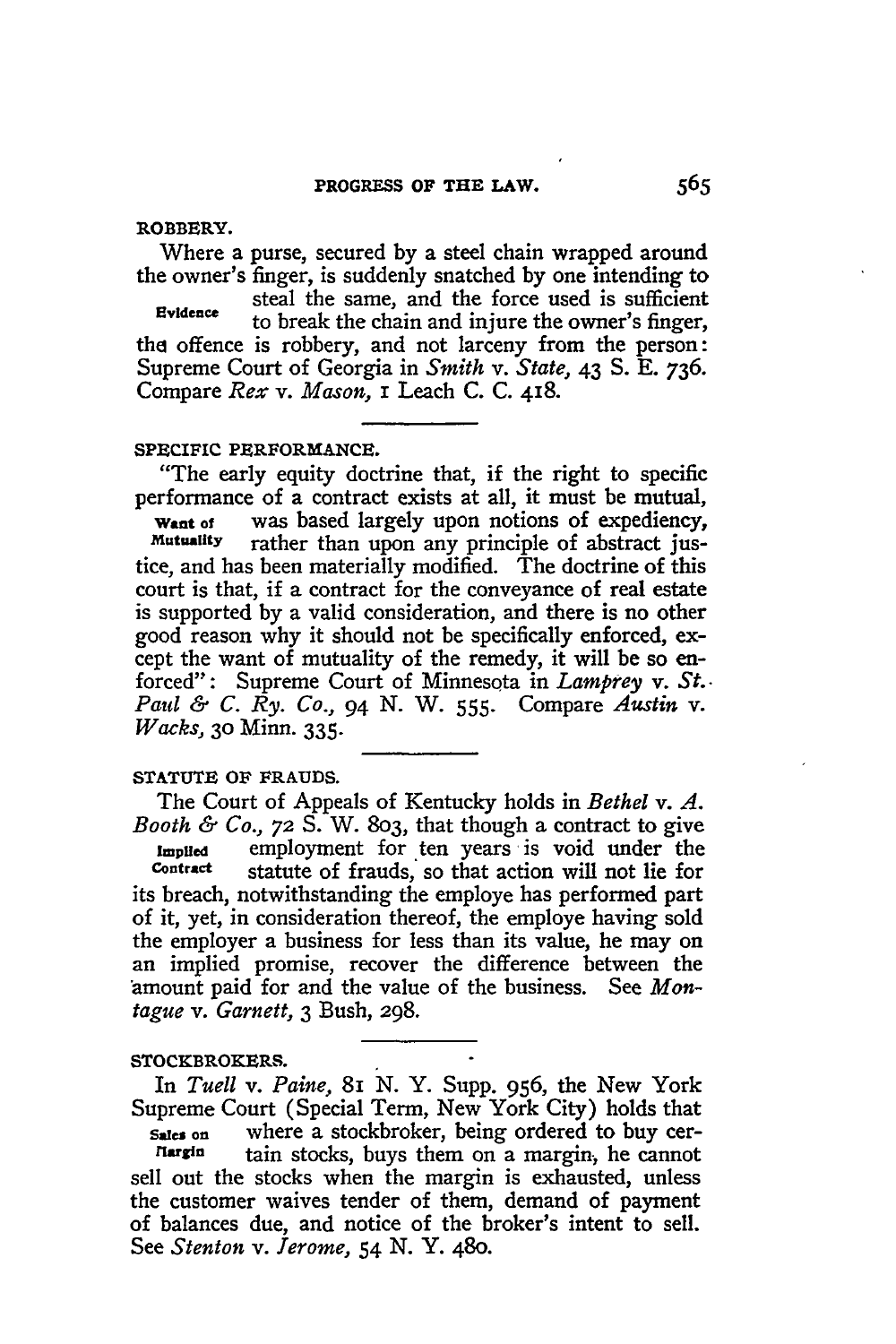## **ROBBERY.**

Where a purse, secured **by** a steel chain wrapped around the owner's finger, is suddenly snatched **by** one intending to

steal the same, and the force used is sufficient **Evidence** to break the chain and injure the owner's finger, the offence is robbery, and not larceny from the person: Supreme Court of Georgia in *Smith v. State,* 43 **S. E. 736.** Compare *Rex v. Mason,* i Leach **C. C.** 418.

### SPECIFIC PERFORMANCE.

"The early equity doctrine that, if the right to specific performance of a contract exists at all, it must be mutual,

**Want of** was based largely upon notions of expediency,<br>Mutuality rather than upon any principle of abstract jusrather than upon any principle of abstract justice, and has been materially modified. The doctrine of this court is that, if a contract for the conveyance of real estate is supported **by** a valid consideration, and there is no other good reason why it should not be specifically enforced, except the want of mutuality of the remedy, it will be so enforced": Supreme Court of Minnesota in *Lamprey v. St.. Paul & C. Ry. Co.,* 94 N. W. **555.** Compare *Austin v. Wacks,* **30** Minn. **335.**

# **STATUTE OF FRAUDS.**

The Court of Appeals of Kentucky holds in *Bethel v. A. Booth & Co.,* **72 S.** W. 803, that though a contract to give Implied **employment** for ten years is void under the contract statute of frauds so that action will not lie for statute of frauds, so that action will not lie for its breach, notwithstanding the employe has performed part of it, yet, in consideration thereof, the employe having sold the employer a business for less than its value, he may on an implied promise, recover the difference between the amount paid for and the value of the business. See *Montague v. Garnett,* 3 Bush, **298.**

# STOCKBROKERS.

In *Tuell v. Paine, 81* N. Y. Supp. 956, the New York Supreme Court (Special Term, New York City) holds that

**Sales on** where a stockbroker, being ordered to buy certain stocks, buys them on a margin, he cannot sell out the stocks when the margin is exhausted, unless the customer waives tender of them, demand of payment of balances due, and notice of the broker's intent to sell. See *Stenton v. Jerome,* 54 **N. Y.** 480.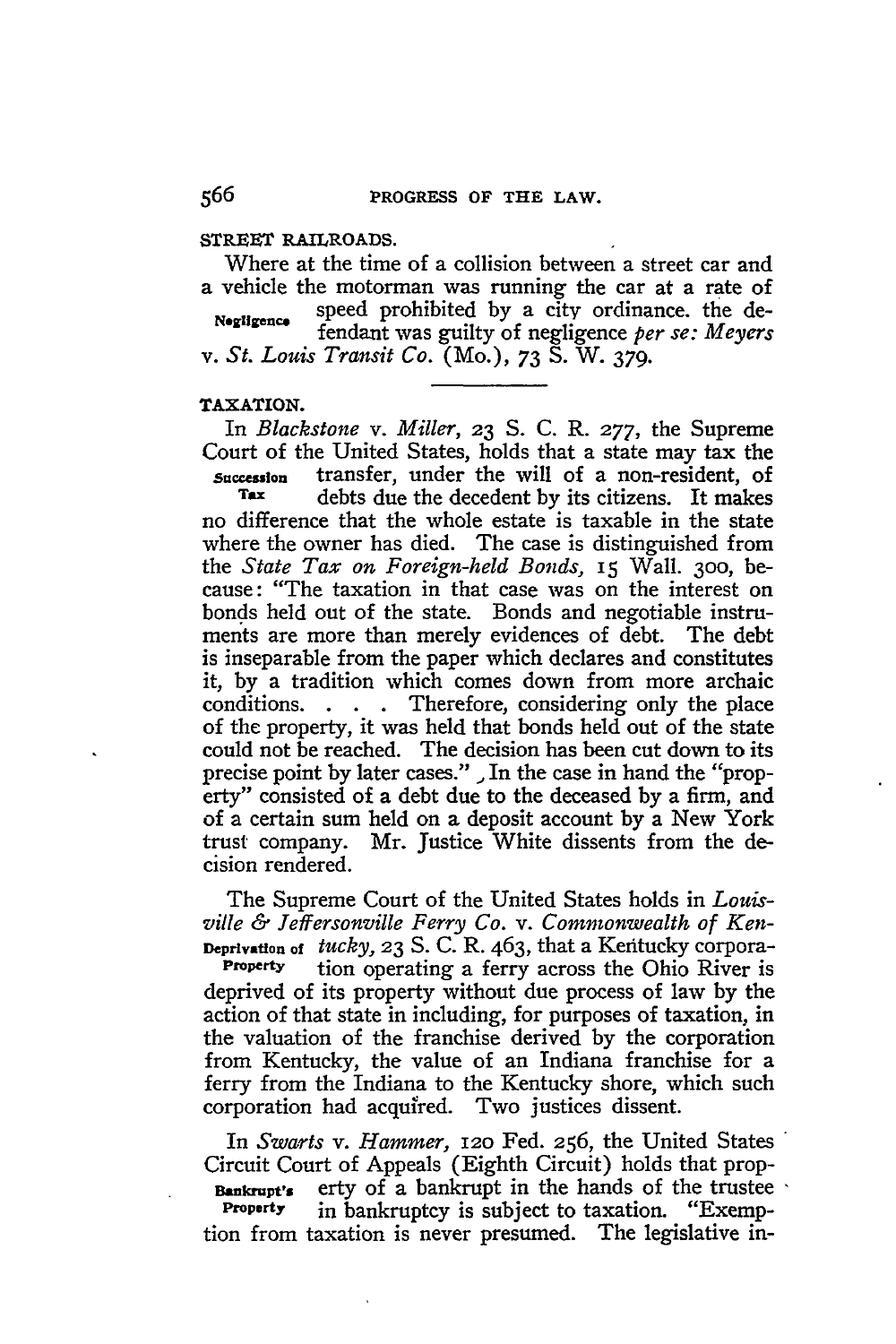### **STREET RAILROADS.**

Where at the time of a collision between a street car and a vehicle the motorman was running the car at a rate of *Negligence* speed prohibited by a city ordinance, the defendant was guilty of negligence *per se: Meyers v. St. Louis Transit Co.* (Mo.), 73 S. W. 379.

## **TAXATION.**

In *Blackstone v. Miller,* **23 S. C.** R. **277,** the Supreme Court of the United States, holds that a state may tax the **Succeslon** transfer, under the will of a non-resident, of debts due the decedent by its citizens. It makes no difference that the whole estate is taxable in the state where the owner has died. The case is distinguished from the *State* Tax *on Foreign-held Bonds,* 15 Wall. **300,** because: "The taxation in that case was on the interest on bonds held out of the state. Bonds and negotiable instruments are more than merely evidences of debt. The debt is inseparable from the paper which declares and constitutes it, by a tradition which comes down from more archaic conditions. . **.** . Therefore, considering only the place of the property, it was held that bonds held out of the state could not be reached. The decision has been cut down to its precise point by later cases." **,** In the case in hand the "property" consisted of a debt due to the deceased by a firm, and of a certain sum held on a deposit account by a New York trust company. Mr. Justice White dissents from the decision rendered.

The Supreme Court of the United States holds in *Louis***ville** *& Jeffersonville Ferry Co. v. Commonwealth of Ken-***Deprivation** of *tucky,* **23 S.** C. R. 463, that a Kefitucky corpora-

**Property** tion operating a ferry across the Ohio River is deprived of its property without due process of law by the action of that state in including, for purposes of taxation, in the valuation of the franchise derived by the corporation from Kentucky, the value of an Indiana franchise for a ferry from the Indiana to the Kentucky shore, which such corporation had acquired. Two justices dissent.

In *Swarts v. Hammer,* **12o** Fed. 256, the United States Circuit Court of Appeals (Eighth Circuit) holds that prop-**EXECUTE:** Exty of a bankrupt in the hands of the trustee **Property** in bankruptcy is subject to taxation. "Exemption from taxation is never presumed. The legislative in-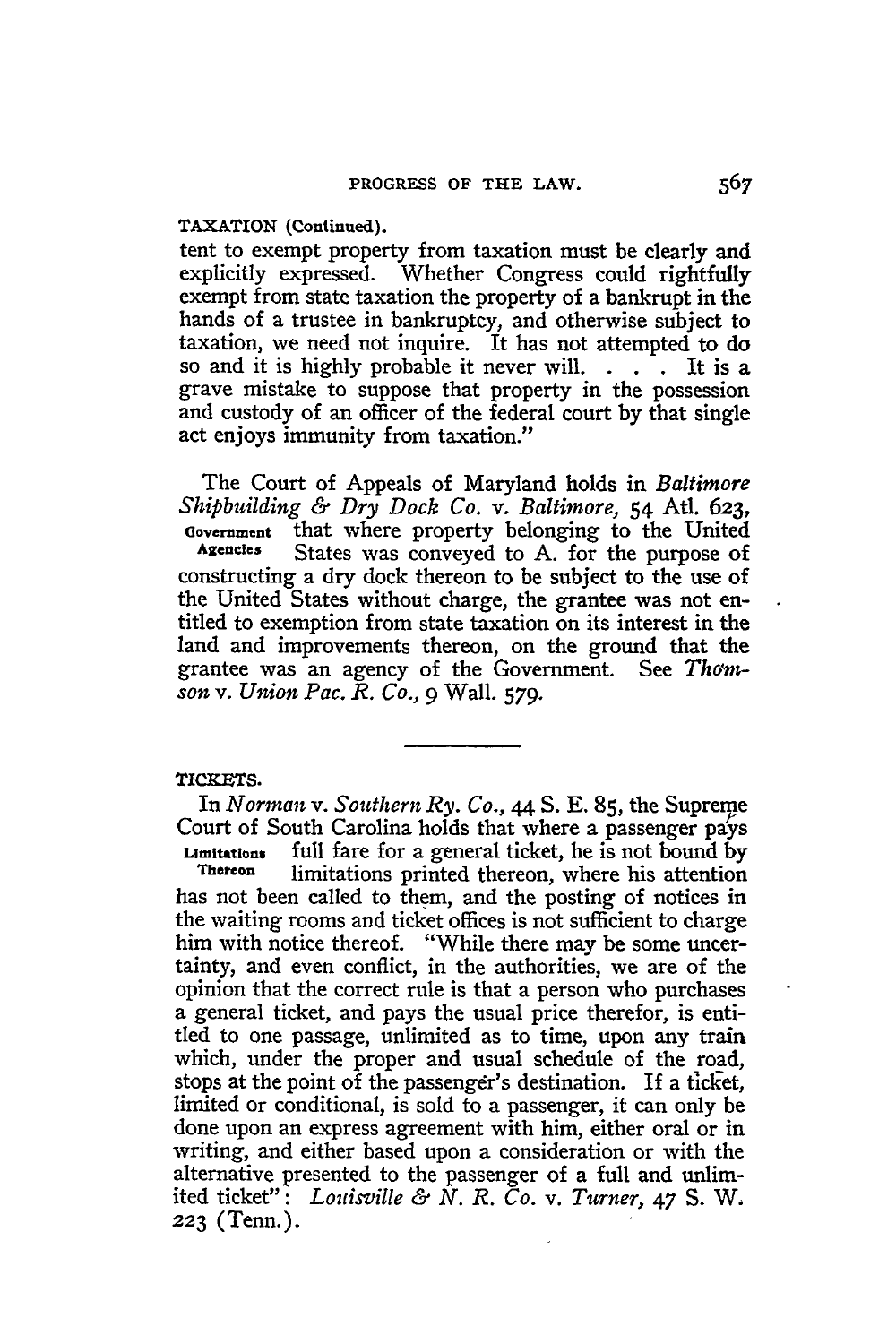## **TAXATION (Continued).**

tent to exempt property from taxation must be clearly and explicitly expressed. Whether Congress could rightfully exempt from state taxation the property of a bankrupt in the hands of a trustee in bankruptcy, and otherwise subject to taxation, we need not inquire. It has not attempted to **do** so and it is **highly** probable it never will. **. .** It is a grave mistake to suppose that property in the possession and custody of an officer of the federal court **by** that single act enjoys immunity from taxation."

The Court of Appeals of Maryland holds in *Baltimore Shipbuilding & Dry Dock Co. v. Baltimore,* 54 Atl. 623, **Oovernment** that where property belonging to the United **Agencies** States was conveyed to **A.** for the purpose of constructing a dry dock thereon to be subject to the use of the United States without charge, the grantee was not entitled to exemption from state taxation on its interest in the land and improvements thereon, on the ground that the grantee was an agency of the Government. See *Thomson v. Union Pac. R. Co.,* 9 Wall. *579.*

#### TICKETS.

In *Norman v. Southern Ry. Co.,* **44 S. E. 85,** the Supreme Court of South Carolina holds that where a passenger pays **Limitations** full fare for a general ticket, he is not bound by **Thereon** limitations printed thereon, where his attention has not been called to them, and the posting of notices in the waiting rooms and ticket offices is not sufficient to charge him with notice thereof. "While there may be some uncertainty, and even conflict, in the authorities, we are of the opinion that the correct rule is that a person who purchases a general ticket, and pays the usual price therefor, is entitled to one passage, unlimited as to time, upon any train which, under the proper and usual schedule of the road, stops at the point of the passenger's destination. If a ticket, limited or conditional, is sold to a passenger, it can only be done upon an express agreement with him, either oral or in writing, and either based upon a consideration or with the alternative presented to the passenger of a full and unlimited ticket": *Louisville & N. R. Co. v. Turner, 47* **S.** W. **223** (Tenn.).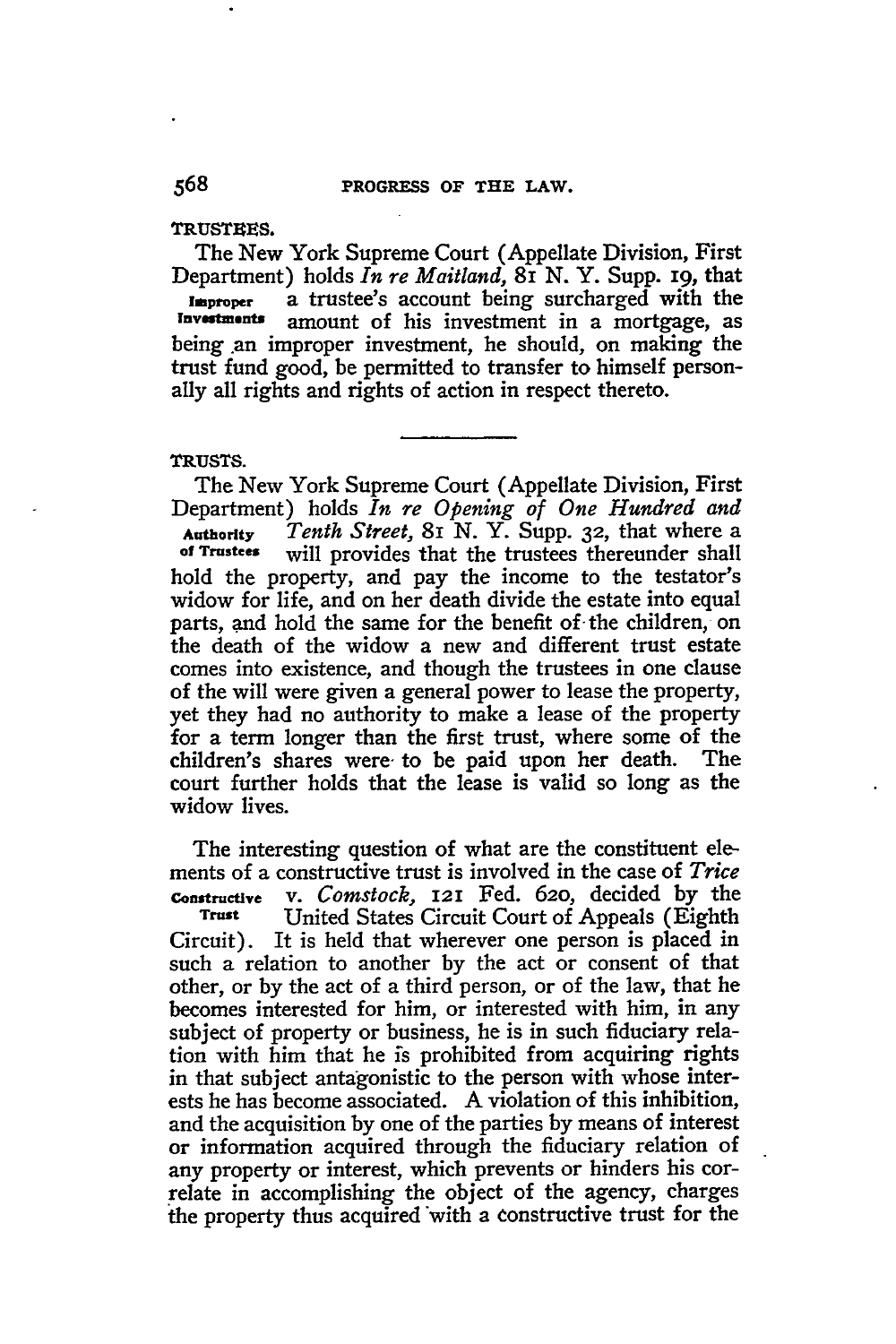#### **TRUSTEES.**

The New York Supreme Court (Appellate Division, First Department) holds *In re Maitland,* **8i N.** Y. Supp. **i9,** that **improper** a trustee's account being surcharged with the Investments amount of his investment in a mortgage, as being an improper investment, he should, on making the trust fund good, be permitted to transfer to himself personally all rights and rights of action in respect thereto.

## **TRUSTS.**

The New York Supreme Court (Appellate Division, First Department) holds *In re Opening of One Hundred and* **Authority** *Tenth Street,* 81 **N.** Y. Supp. **32,** that where a **of Trustee,** will provides that the trustees thereunder shall hold the property, and pay the income to the testator's widow for life, and on her death divide the estate into equal parts, and hold the same for the benefit of the children, on the death of the widow a new and different trust estate comes into existence, and though the trustees in one clause of the will were given a general power to lease the property, yet they had no authority to make a lease of the property for a term longer than the first trust, where some of the children's shares were, to be paid upon her death. The court further holds that the lease is valid so long as the widow lives.

The interesting question of what are the constituent elements of a constructive trust is involved in the case of *Trice* **Constructive** v. *Comstock,* **121** Fed. **620,** decided **by** the **Trust** United States Circuit Court of Appeals (Eighth Circuit). It is held that wherever one person is placed in such a relation to another **by** the act or consent of that other, or **by** the act of a third person, or of the law, that he becomes interested for him, or interested with him, in any subject of property or business, he is in such fiduciary relation with him that he is prohibited from acquiring rights in that subject antagonistic to the person with whose interests he has become associated. **A** violation of this inhibition, and the acquisition **by** one of the parties **by** means of interest or information acquired through the fiduciary relation of any property or interest, which prevents or hinders his correlate in accomplishing the object of the agency, charges the property thus acquired with a constructive trust for the